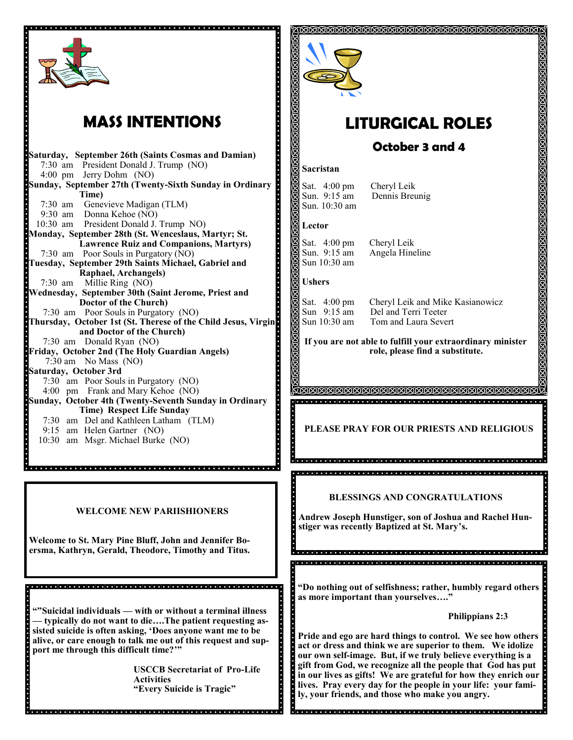

# **MASS INTENTIONS**

**Saturday, September 26th (Saints Cosmas and Damian)** 7:30 am President Donald J. Trump (NO) 4:00 pm Jerry Dohm (NO) **Sunday, September 27th (Twenty-Sixth Sunday in Ordinary Time)** 7:30 am Genevieve Madigan (TLM) 9:30 am Donna Kehoe (NO) 10:30 am President Donald J. Trump NO) **Monday, September 28th (St. Wenceslaus, Martyr; St. Lawrence Ruiz and Companions, Martyrs)** 7:30 am Poor Souls in Purgatory (NO) **Tuesday, September 29th Saints Michael, Gabriel and Raphael, Archangels)**  7:30 am Millie Ring (NO) **Wednesday, September 30th (Saint Jerome, Priest and Doctor of the Church)** 7:30 am Poor Souls in Purgatory (NO) **Thursday, October 1st (St. Therese of the Child Jesus, Virgin and Doctor of the Church)** 7:30 am Donald Ryan (NO) **Friday, October 2nd (The Holy Guardian Angels)**  7:30 am No Mass (NO) **Saturday, October 3rd** 7:30 am Poor Souls in Purgatory (NO) 4:00 pm Frank and Mary Kehoe (NO) **Sunday, October 4th (Twenty-Seventh Sunday in Ordinary Time) Respect Life Sunday**  7:30 am Del and Kathleen Latham (TLM) 9:15 am Helen Gartner (NO)

10:30 am Msgr. Michael Burke (NO)

### **WELCOME NEW PARIISHIONERS**

**Welcome to St. Mary Pine Bluff, John and Jennifer Boersma, Kathryn, Gerald, Theodore, Timothy and Titus.**

**""Suicidal individuals — with or without a terminal illness — typically do not want to die….The patient requesting assisted suicide is often asking, 'Does anyone want me to be alive, or care enough to talk me out of this request and support me through this difficult time?'"**

**USCCB Secretariat of Pro-Life Activities "Every Suicide is Tragic"**



# **LITURGICAL ROLES**

### **October 3 and 4**

#### **Sacristan**

Sat. 4:00 pm Cheryl Leik<br>Sun. 9:15 am Dennis Breu Sun. 10:30 am

Dennis Breunig

#### **Lector**

S

ă

Sat. 4:00 pm Cheryl Leik<br>Sun. 9:15 am Angela Hine Sun 10:30 am

Angela Hineline

#### **Ushers**

Sat. 4:00 pm Cheryl Leik and Mike Kasianowicz Sun 9:15 am Del and Terri Teeter<br>Sun 10:30 am Tom and Laura Seve Tom and Laura Severt

**If you are not able to fulfill your extraordinary minister role, please find a substitute.** 

**PLEASE PRAY FOR OUR PRIESTS AND RELIGIOUS**

 **BLESSINGS AND CONGRATULATIONS**

**Andrew Joseph Hunstiger, son of Joshua and Rachel Hunstiger was recently Baptized at St. Mary's.**

**"Do nothing out of selfishness; rather, humbly regard others as more important than yourselves…."**

 **Philippians 2:3**

**Pride and ego are hard things to control. We see how others act or dress and think we are superior to them. We idolize our own self-image. But, if we truly believe everything is a gift from God, we recognize all the people that God has put in our lives as gifts! We are grateful for how they enrich our lives. Pray every day for the people in your life: your family, your friends, and those who make you angry.**